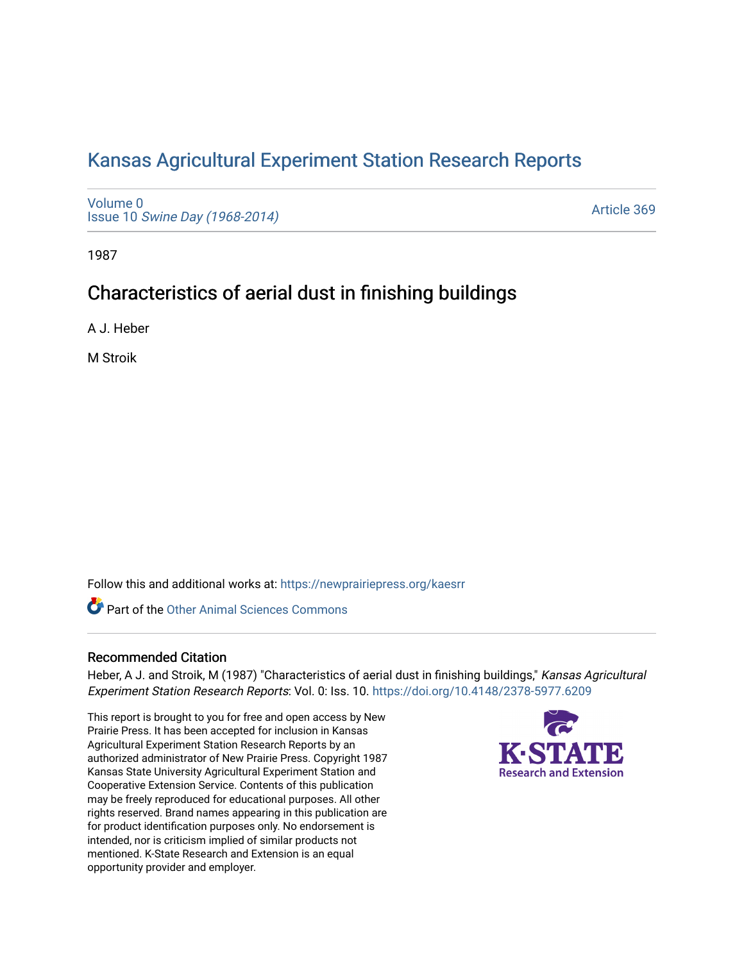# [Kansas Agricultural Experiment Station Research Reports](https://newprairiepress.org/kaesrr)

[Volume 0](https://newprairiepress.org/kaesrr/vol0) Issue 10 [Swine Day \(1968-2014\)](https://newprairiepress.org/kaesrr/vol0/iss10)

[Article 369](https://newprairiepress.org/kaesrr/vol0/iss10/369) 

1987

## Characteristics of aerial dust in finishing buildings

A J. Heber

M Stroik

Follow this and additional works at: [https://newprairiepress.org/kaesrr](https://newprairiepress.org/kaesrr?utm_source=newprairiepress.org%2Fkaesrr%2Fvol0%2Fiss10%2F369&utm_medium=PDF&utm_campaign=PDFCoverPages) 

**C** Part of the [Other Animal Sciences Commons](http://network.bepress.com/hgg/discipline/82?utm_source=newprairiepress.org%2Fkaesrr%2Fvol0%2Fiss10%2F369&utm_medium=PDF&utm_campaign=PDFCoverPages)

### Recommended Citation

Heber, A J. and Stroik, M (1987) "Characteristics of aerial dust in finishing buildings," Kansas Agricultural Experiment Station Research Reports: Vol. 0: Iss. 10. <https://doi.org/10.4148/2378-5977.6209>

This report is brought to you for free and open access by New Prairie Press. It has been accepted for inclusion in Kansas Agricultural Experiment Station Research Reports by an authorized administrator of New Prairie Press. Copyright 1987 Kansas State University Agricultural Experiment Station and Cooperative Extension Service. Contents of this publication may be freely reproduced for educational purposes. All other rights reserved. Brand names appearing in this publication are for product identification purposes only. No endorsement is intended, nor is criticism implied of similar products not mentioned. K-State Research and Extension is an equal opportunity provider and employer.

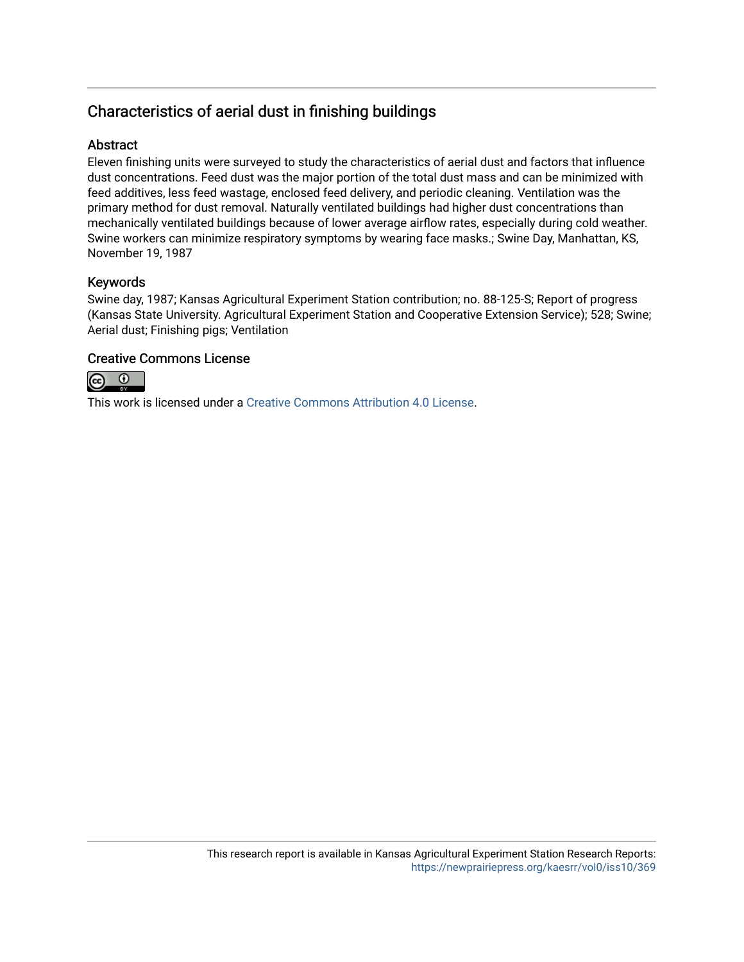## Characteristics of aerial dust in finishing buildings

## **Abstract**

Eleven finishing units were surveyed to study the characteristics of aerial dust and factors that influence dust concentrations. Feed dust was the major portion of the total dust mass and can be minimized with feed additives, less feed wastage, enclosed feed delivery, and periodic cleaning. Ventilation was the primary method for dust removal. Naturally ventilated buildings had higher dust concentrations than mechanically ventilated buildings because of lower average airflow rates, especially during cold weather. Swine workers can minimize respiratory symptoms by wearing face masks.; Swine Day, Manhattan, KS, November 19, 1987

## Keywords

Swine day, 1987; Kansas Agricultural Experiment Station contribution; no. 88-125-S; Report of progress (Kansas State University. Agricultural Experiment Station and Cooperative Extension Service); 528; Swine; Aerial dust; Finishing pigs; Ventilation

## Creative Commons License



This work is licensed under a [Creative Commons Attribution 4.0 License](https://creativecommons.org/licenses/by/4.0/).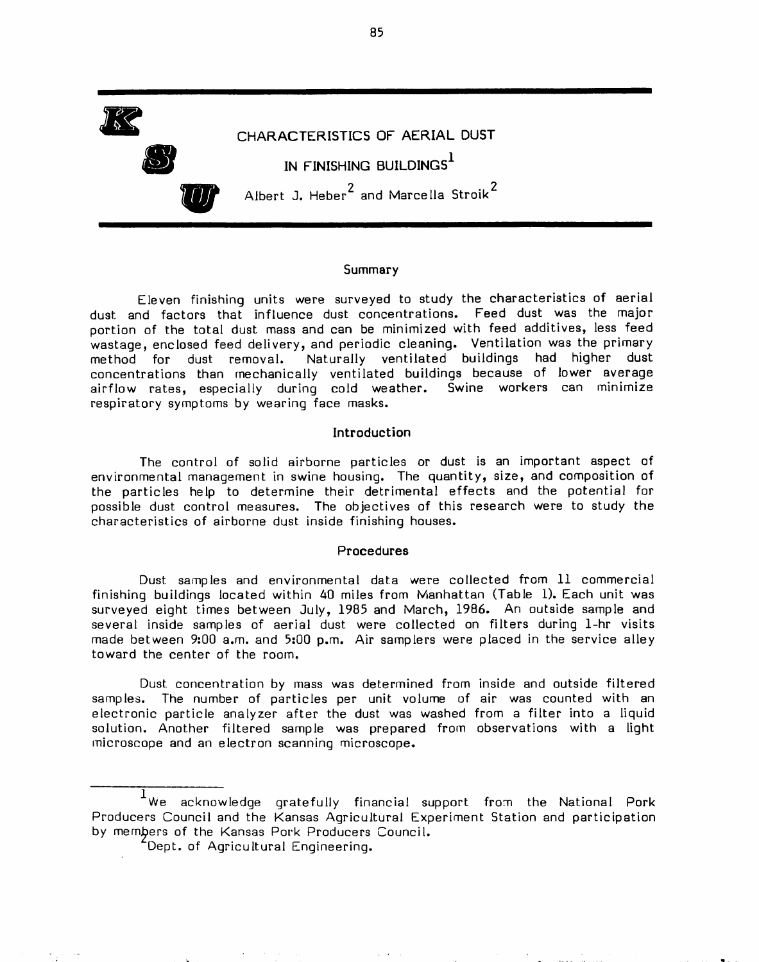

#### Summary

Eleven finishing units were surveyed to study the characteristics of aerial dust and factors that influence dust concentrations. Feed dust was the major portion of the total dust mass and can be minimized with feed additives, less feed wastage, enclosed feed delivery, and periodic cleaning. Ventilation was the primary Naturally ventilated buildings had higher dust method for dust removal. concentrations than mechanically ventilated buildings because of lower average airflow rates, especially during cold weather. Swine workers can minimize respiratory symptoms by wearing face masks.

#### Introduction

The control of solid airborne particles or dust is an important aspect of environmental management in swine housing. The quantity, size, and composition of the particles help to determine their detrimental effects and the potential for possible dust control measures. The objectives of this research were to study the characteristics of airborne dust inside finishing houses.

#### Procedures

Dust samples and environmental data were collected from 11 commercial finishing buildings located within 40 miles from Manhattan (Table 1). Each unit was surveyed eight times between July, 1985 and March, 1986. An outside sample and several inside samples of aerial dust were collected on filters during 1-hr visits made between 9:00 a.m. and 5:00 p.m. Air samplers were placed in the service alley toward the center of the room.

Dust concentration by mass was determined from inside and outside filtered samples. The number of particles per unit volume of air was counted with an electronic particle analyzer after the dust was washed from a filter into a liquid solution. Another filtered sample was prepared from observations with a light microscope and an electron scanning microscope.

85

We acknowledge gratefully financial support from the National Pork Producers Council and the Kansas Agricultural Experiment Station and participation by members of the Kansas Pork Producers Council.

Dept. of Agricultural Engineering.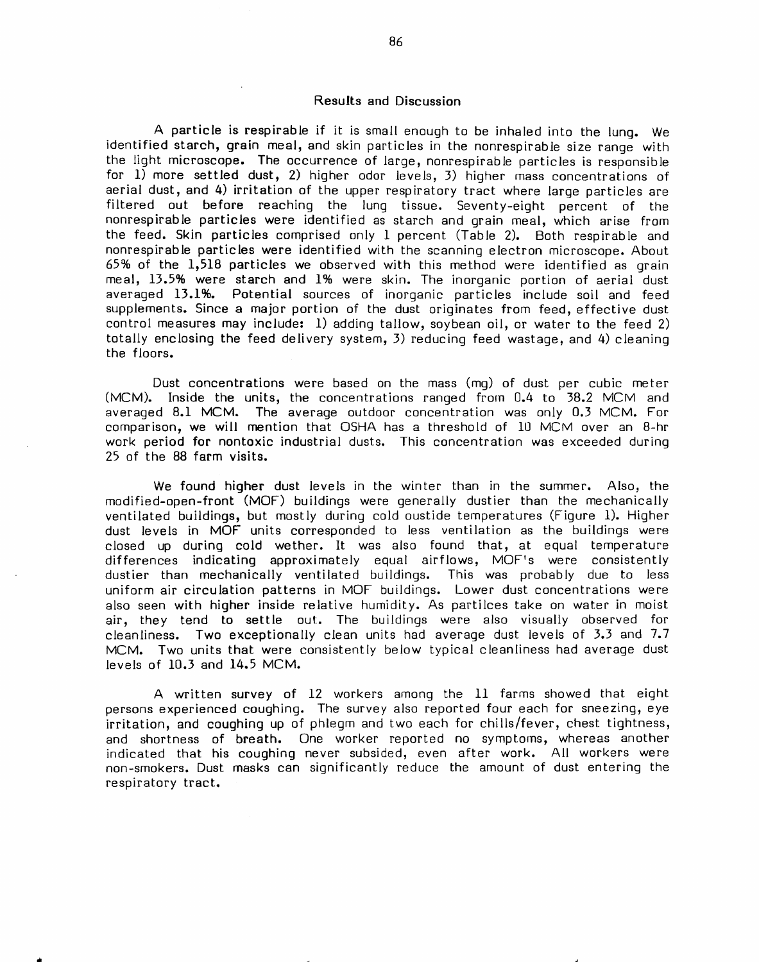#### Results and Discussion

A particle is respirable if it is small enough to be inhaled into the lung. We identified starch, grain meal, and skin particles in the nonrespirable size range with the light microscope. The occurrence of large, nonrespirable particles is responsible for  $1$ ) more settled dust, 2) higher odor levels, 3) higher mass concentrations of aerial dust, and 4) irritation of the upper respiratory tract where large particles are filtered out before reaching the lung tissue. Seventy-eight percent of the nonrespirable particles were identified as starch and grain meal, which arise from the feed. Skin particles comprised only 1 percent (Table 2). Both respirable and nonrespirable particles were identified with the scanning electron microscope. About 65% of the 1,518 particles we observed with this method were identified as grain meal, 13.5% were starch and 1% were skin. The inorganic portion of aerial dust averaged 13.1%. Potential sources of inorganic particles include soil and feed supplements. Since a major portion of the dust originates from feed, effective dust control measures may include: 1) adding tallow, soybean oil, or water to the feed 2) totally enclosing the feed delivery system, 3) reducing feed wastage, and 4) cleaning the floors.

Dust concentrations were based on the mass (mq) of dust per cubic meter (MCM). Inside the units, the concentrations ranged from 0.4 to 38.2 MCM and averaged 8.1 MCM. The average outdoor concentration was only 0.3 MCM. For comparison, we will mention that OSHA has a threshold of 10 MCM over an 8-hr work period for nontoxic industrial dusts. This concentration was exceeded during 25 of the 88 farm visits.

We found higher dust levels in the winter than in the summer. Also, the modified-open-front (MOF) buildings were generally dustier than the mechanically ventilated buildings, but mostly during cold oustide temperatures (Figure 1). Higher dust levels in MOF units corresponded to less ventilation as the buildings were closed up during cold wether. It was also found that, at equal temperature differences indicating approximately equal airflows, MOF's were consistently dustier than mechanically ventilated buildings. This was probably due to less uniform air circulation patterns in MOF buildings. Lower dust concentrations were also seen with higher inside relative humidity. As partilces take on water in moist air, they tend to settle out. The buildings were also visually observed for cleanliness. Two exceptionally clean units had average dust levels of 3.3 and 7.7 MCM. Two units that were consistently below typical cleanliness had average dust levels of  $10.3$  and  $14.5$  MCM.

A written survey of 12 workers among the 11 farms showed that eight persons experienced coughing. The survey also reported four each for sneezing, eye irritation, and coughing up of phlegm and two each for chills/fever, chest tightness, and shortness of breath. One worker reported no symptoms, whereas another indicated that his coughing never subsided, even after work. All workers were non-smokers. Dust masks can significantly reduce the amount of dust entering the respiratory tract.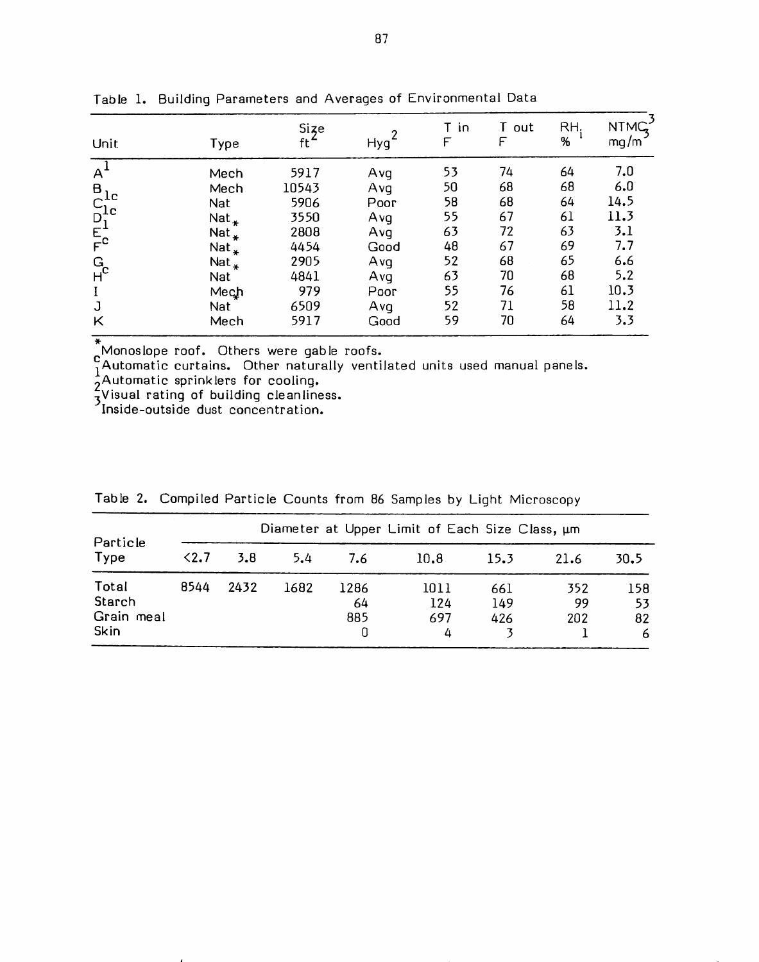| Unit                             | Type               | $\frac{Size}{ft}$ | Hyg <sup>1</sup> | T in<br>F | T out<br>F | RH.<br>% | NTMG <sub>3</sub> |
|----------------------------------|--------------------|-------------------|------------------|-----------|------------|----------|-------------------|
| A                                | Mech               | 5917              | Avg              | 53        | 74         | 64       | 7.0               |
|                                  | Mech               | 10543             | Avq              | 50        | 68         | 68       | 6.0               |
|                                  | Nat                | 5906              | Poor             | 58        | 68         | 64       | 14.5              |
|                                  | $Nat_{*}$          | 3550              | Avq              | 55        | 67         | 61       | 11.3              |
|                                  | Nat $_{\rm \star}$ | 2808              | Avq              | 63        | 72         | 63       | 3.1               |
| $B_{C1c}$<br>$D_{1c}$<br>$E_{c}$ | Nat $_{\rm *}$     | 4454              | Good             | 48        | 67         | 69       | 7.7               |
|                                  | Nat $_{\ast}$      | 2905              | Avq              | 52        | 68         | 65       | 6.6               |
| G <sub>c</sub>                   | Nat                | 4841              | Avq              | 63        | 70         | 68       | 5.2               |
| $\mathbf I$                      | Mech               | 979               | Poor             | 55        | 76         | 61       | 10.3              |
| J                                | <b>Nat</b>         | 6509              | Avq              | 52        | 71         | 58       | 11.2              |
| Κ                                | Mech               | 5917              | Good             | 59        | 70         | 64       | 3.3               |

Table 1. Building Parameters and Averages of Environmental Data

Monoslope roof. Others were gable roofs.<br>
CAutomatic curtains. Other naturally ventilated units used manual panels.<br>
2 Automatic sprinklers for cooling.<br>
3 Visual rating of building cleanliness.<br>
Inside-outside dust concen

| Particle<br>Type                             | Diameter at Upper Limit of Each Size Class, um |      |      |                   |                         |                   |                  |                       |  |  |  |
|----------------------------------------------|------------------------------------------------|------|------|-------------------|-------------------------|-------------------|------------------|-----------------------|--|--|--|
|                                              | $2.7$                                          | 3.8  | 5.4  | 7.6               | 10.8                    | 15.3              | 21.6             | 30.5                  |  |  |  |
| Total<br>Starch<br>Grain meal<br><b>Skin</b> | 8544                                           | 2432 | 1682 | 1286<br>64<br>885 | 1011<br>124<br>697<br>4 | 661<br>149<br>426 | 352<br>99<br>202 | 158<br>53<br>82<br>-6 |  |  |  |

Table 2. Compiled Particle Counts from 86 Samples by Light Microscopy